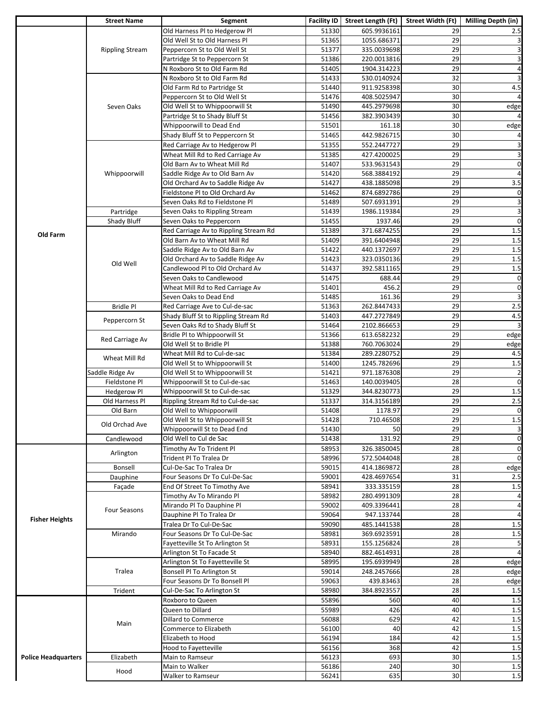|                            | <b>Street Name</b>     | Segment                               | Facility ID | Street Length (Ft) | Street Width (Ft) | Milling Depth (in)      |
|----------------------------|------------------------|---------------------------------------|-------------|--------------------|-------------------|-------------------------|
|                            |                        | Old Harness PI to Hedgerow PI         | 51330       | 605.9936161        | 29                | 2.5                     |
|                            |                        | Old Well St to Old Harness Pl         | 51365       | 1055.686371        | 29                | 3                       |
|                            | <b>Rippling Stream</b> | Peppercorn St to Old Well St          | 51377       | 335.0039698        | 29                | 3                       |
|                            |                        | Partridge St to Peppercorn St         | 51386       | 220.0013816        | 29                | 3                       |
|                            |                        | N Roxboro St to Old Farm Rd           | 51405       | 1904.314223        | 29                | $\overline{4}$          |
|                            |                        | N Roxboro St to Old Farm Rd           | 51433       | 530.0140924        | 32                | 3                       |
|                            |                        | Old Farm Rd to Partridge St           | 51440       | 911.9258398        | 30                | 4.5                     |
|                            |                        | Peppercorn St to Old Well St          | 51476       | 408.5025947        | 30                | 4                       |
|                            | Seven Oaks             | Old Well St to Whippoorwill St        | 51490       | 445.2979698        | 30                | edge                    |
|                            |                        | Partridge St to Shady Bluff St        | 51456       | 382.3903439        | 30                | $\overline{4}$          |
|                            |                        | Whippoorwill to Dead End              | 51501       | 161.18             | 30                | edge                    |
|                            |                        | Shady Bluff St to Peppercorn St       | 51465       | 442.9826715        | 30                | $\overline{a}$          |
|                            |                        | Red Carriage Av to Hedgerow Pl        | 51355       | 552.2447727        | 29                | 3                       |
|                            |                        | Wheat Mill Rd to Red Carriage Av      | 51385       | 427.4200025        | 29                | $\mathsf 3$             |
|                            |                        | Old Barn Av to Wheat Mill Rd          | 51407       | 533.9631543        | 29                | $\mathbf 0$             |
|                            | Whippoorwill           | Saddle Ridge Av to Old Barn Av        | 51420       | 568.3884192        | 29                | $\overline{a}$          |
|                            |                        | Old Orchard Av to Saddle Ridge Av     | 51427       | 438.1885098        | 29                | 3.5                     |
|                            |                        | Fieldstone PI to Old Orchard Av       | 51462       | 874.6892786        | 29                | $\mathbf 0$             |
|                            |                        | Seven Oaks Rd to Fieldstone Pl        | 51489       | 507.6931391        | 29                | $\overline{\mathbf{3}}$ |
|                            | Partridge              | Seven Oaks to Rippling Stream         | 51439       | 1986.119384        | 29                | $\mathsf 3$             |
|                            | Shady Bluff            | Seven Oaks to Peppercorn              | 51455       | 1937.46            | 29                | $\mathbf 0$             |
| Old Farm                   |                        | Red Carriage Av to Rippling Stream Rd | 51389       | 371.6874255        | 29                | 1.5                     |
|                            |                        | Old Barn Av to Wheat Mill Rd          | 51409       | 391.6404948        | 29                | 1.5                     |
|                            |                        | Saddle Ridge Av to Old Barn Av        | 51422       | 440.1372697        | 29                | $1.5$                   |
|                            | Old Well               | Old Orchard Av to Saddle Ridge Av     | 51423       | 323.0350136        | 29                | 1.5                     |
|                            |                        | Candlewood Pl to Old Orchard Av       | 51437       | 392.5811165        | 29                | $1.5$                   |
|                            |                        | Seven Oaks to Candlewood              | 51475       | 688.44             | 29                | $\mathbf 0$             |
|                            |                        | Wheat Mill Rd to Red Carriage Av      | 51401       | 456.2              | 29                | $\mathbf 0$             |
|                            |                        | Seven Oaks to Dead End                | 51485       | 161.36             | 29                | 3                       |
|                            | <b>Bridle Pl</b>       | Red Carriage Ave to Cul-de-sac        | 51363       | 262.8447433        | 29                | 2.5                     |
|                            | Peppercorn St          | Shady Bluff St to Rippling Stream Rd  | 51403       | 447.2727849        | 29                | 4.5                     |
|                            |                        | Seven Oaks Rd to Shady Bluff St       | 51464       | 2102.866653        | 29                | 3                       |
|                            | Red Carriage Av        | Bridle PI to Whippoorwill St          | 51366       | 613.6582232        | 29                | edge                    |
|                            |                        | Old Well St to Bridle Pl              | 51388       | 760.7063024        | 29                | edge                    |
|                            | Wheat Mill Rd          | Wheat Mill Rd to Cul-de-sac           | 51384       | 289.2280752        | 29                | 4.5                     |
|                            |                        | Old Well St to Whippoorwill St        | 51400       | 1245.782696        | 29                | $1.5$                   |
|                            | Saddle Ridge Av        | Old Well St to Whippoorwill St        | 51421       | 971.1876308        | 29                | $\overline{2}$          |
|                            | Fieldstone Pl          | Whippoorwill St to Cul-de-sac         | 51463       | 140.0039405        | 28                | $\mathbf 0$             |
|                            | <b>Hedgerow Pl</b>     | Whippoorwill St to Cul-de-sac         | 51329       | 344.8230773        | 29                | 1.5                     |
|                            | Old Harness Pl         | Rippling Stream Rd to Cul-de-sac      | 51337       | 314.3156189        | 29                | 2.5                     |
|                            | Old Barn               | Old Well to Whippoorwill              | 51408       | 1178.97            | 29                | $\overline{0}$          |
|                            | Old Orchad Ave         | Old Well St to Whippoorwill St        | 51428       | 710.46508          | 29                | $1.5$                   |
|                            |                        | Whippoorwill St to Dead End           | 51430       | 50                 | 29                | $\overline{\mathbf{3}}$ |
|                            | Candlewood             | Old Well to Cul de Sac                | 51438       | 131.92             | 29                | $\mathbf 0$             |
|                            | Arlington              | Timothy Av To Trident Pl              | 58953       | 326.3850045        | 28                | $\mathbf 0$             |
|                            |                        | Trident Pl To Tralea Dr               | 58996       | 572.5044048        | 28                | $\mathbf 0$             |
|                            | Bonsell                | Cul-De-Sac To Tralea Dr               | 59015       | 414.1869872        | 28                | edge                    |
|                            | Dauphine               | Four Seasons Dr To Cul-De-Sac         | 59001       | 428.4697654        | 31                | 2.5                     |
|                            | Façade                 | End Of Street To Timothy Ave          | 58941       | 333.335159         | 28                | 1.5                     |
|                            |                        | Timothy Av To Mirando Pl              | 58982       | 280.4991309        | 28                | $\overline{a}$          |
|                            | Four Seasons           | Mirando Pl To Dauphine Pl             | 59002       | 409.3396441        | 28                | $\overline{a}$          |
| <b>Fisher Heights</b>      |                        | Dauphine Pl To Tralea Dr              | 59064       | 947.133744         | 28                | $\overline{4}$          |
|                            |                        | Tralea Dr To Cul-De-Sac               | 59090       | 485.1441538        | $\overline{28}$   | 1.5                     |
|                            | Mirando                | Four Seasons Dr To Cul-De-Sac         | 58981       | 369.6923591        | 28                | 1.5                     |
|                            |                        | Fayetteville St To Arlington St       | 58931       | 155.1256824        | 28                | 5                       |
|                            |                        | Arlington St To Facade St             | 58940       | 882.4614931        | 28                | $\overline{4}$          |
|                            |                        | Arlington St To Fayetteville St       | 58995       | 195.6939949        | $\overline{28}$   | edge                    |
|                            | Tralea                 | Bonsell PI To Arlington St            | 59014       | 248.2457666        | 28                | edge                    |
|                            |                        | Four Seasons Dr To Bonsell Pl         | 59063       | 439.83463          | 28                | edge                    |
|                            | Trident                | Cul-De-Sac To Arlington St            | 58980       | 384.8923557        | 28                | 1.5                     |
|                            |                        | Roxboro to Queen                      | 55896       | 560                | 40                | 1.5                     |
|                            |                        | Queen to Dillard                      | 55989       | 426                | 40                | $1.5$                   |
|                            | Main                   | Dillard to Commerce                   | 56088       | 629                | 42                | 1.5                     |
|                            |                        | Commerce to Elizabeth                 | 56100       | 40                 | 42                | 1.5                     |
|                            |                        | Elizabeth to Hood                     | 56194       | 184                | 42                | 1.5                     |
|                            |                        | Hood to Fayetteville                  | 56156       | 368                | 42                | 1.5                     |
| <b>Police Headquarters</b> | Elizabeth              | Main to Ramseur                       | 56123       | 693                | 30                | 1.5                     |
|                            | Hood                   | Main to Walker                        | 56186       | 240                | 30                | 1.5                     |
|                            |                        | Walker to Ramseur                     | 56241       | 635                | $30\,$            | $1.5\,$                 |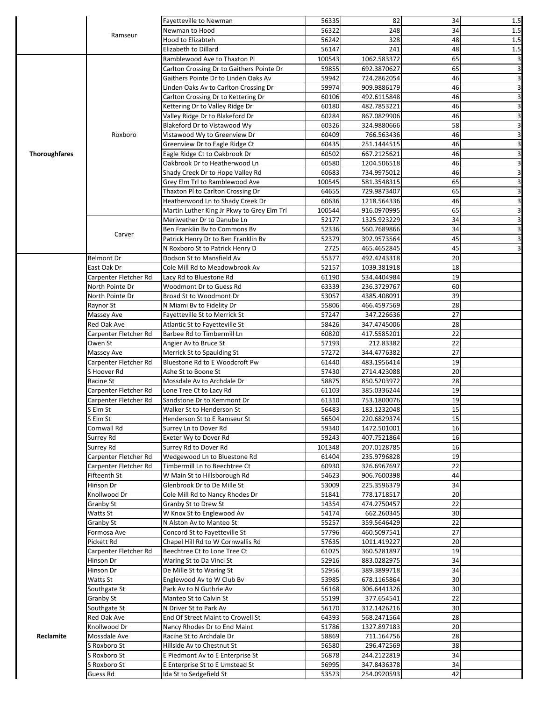|                      |                       | Fayetteville to Newman                     | 56335  | 82          | 34              | 1.5            |
|----------------------|-----------------------|--------------------------------------------|--------|-------------|-----------------|----------------|
|                      | Ramseur               | Newman to Hood                             | 56322  | 248         | 34              | 1.5            |
|                      |                       | <b>Hood to Elizabteh</b>                   | 56242  | 328         | 48              | 1.5            |
|                      |                       | Elizabeth to Dillard                       | 56147  | 241         | 48              | 1.5            |
| <b>Thoroughfares</b> |                       | Ramblewood Ave to Thaxton Pl               | 100543 | 1062.583372 | 65              | 3              |
|                      |                       | Carlton Crossing Dr to Gaithers Pointe Dr  | 59855  | 692.3870627 | 65              | $\overline{3}$ |
|                      |                       | Gaithers Pointe Dr to Linden Oaks Av       | 59942  | 724.2862054 | 46              | 3              |
|                      |                       | Linden Oaks Av to Carlton Crossing Dr      | 59974  | 909.9886179 | 46              | 3              |
|                      |                       |                                            |        |             |                 |                |
|                      |                       | Carlton Crossing Dr to Kettering Dr        | 60106  | 492.6115848 | 46              | 3              |
|                      |                       | Kettering Dr to Valley Ridge Dr            | 60180  | 482.7853221 | 46              | 3              |
|                      |                       | Valley Ridge Dr to Blakeford Dr            | 60284  | 867.0829906 | 46              | 3              |
|                      |                       | Blakeford Dr to Vistawood Wy               | 60326  | 324.9880666 | 58              | 3              |
|                      | Roxboro               | Vistawood Wy to Greenview Dr               | 60409  | 766.563436  | 46              | 3              |
|                      |                       | Greenview Dr to Eagle Ridge Ct             | 60435  | 251.1444515 | 46              | 3              |
|                      |                       | Eagle Ridge Ct to Oakbrook Dr              | 60502  | 667.2125621 | 46              | 3              |
|                      |                       | Oakbrook Dr to Heatherwood Ln              | 60580  | 1204.506518 | 46              | 3              |
|                      |                       | Shady Creek Dr to Hope Valley Rd           | 60683  | 734.9975012 | 46              | 3              |
|                      |                       | Grey Elm Trl to Ramblewood Ave             | 100545 | 581.3548315 | 65              | 3              |
|                      |                       | Thaxton PI to Carlton Crossing Dr          | 64655  | 729.9873407 | 65              | 3              |
|                      |                       |                                            |        |             |                 |                |
|                      |                       | Heatherwood Ln to Shady Creek Dr           | 60636  | 1218.564336 | 46              | $\overline{3}$ |
|                      |                       | Martin Luther King Jr Pkwy to Grey Elm Trl | 100544 | 916.0970995 | 65              | 3              |
|                      |                       | Meriwether Dr to Danube Ln                 | 52177  | 1325.923229 | 34              | 3              |
|                      | Carver                | Ben Franklin By to Commons By              | 52336  | 560.7689866 | 34              | 3              |
|                      |                       | Patrick Henry Dr to Ben Franklin Bv        | 52379  | 392.9573564 | 45              | 3              |
|                      |                       | N Roxboro St to Patrick Henry D            | 2725   | 465.4652845 | 45              | 3              |
|                      | <b>Belmont Dr</b>     | Dodson St to Mansfield Av                  | 55377  | 492.4243318 | 20              |                |
|                      | East Oak Dr           | Cole Mill Rd to Meadowbrook Av             | 52157  | 1039.381918 | 18              |                |
|                      | Carpenter Fletcher Rd | Lacy Rd to Bluestone Rd                    | 61190  | 534.4404984 | 19              |                |
|                      | North Pointe Dr       | Woodmont Dr to Guess Rd                    | 63339  | 236.3729767 | 60              |                |
|                      | North Pointe Dr       |                                            | 53057  | 4385.408091 | 39              |                |
|                      |                       | Broad St to Woodmont Dr                    |        |             |                 |                |
|                      | Raynor St             | N Miami By to Fidelity Dr                  | 55806  | 466.4597569 | 28              |                |
|                      | Massey Ave            | Fayetteville St to Merrick St              | 57247  | 347.226636  | 27              |                |
|                      | Red Oak Ave           | Atlantic St to Fayetteville St             | 58426  | 347.4745006 | 28              |                |
|                      | Carpenter Fletcher Rd | Barbee Rd to Timbermill Ln                 | 60820  | 417.5585201 | 22              |                |
|                      | Owen St               | Angier Av to Bruce St                      | 57193  | 212.83382   | 22              |                |
|                      | Massey Ave            | Merrick St to Spaulding St                 | 57272  | 344.4776382 | 27              |                |
|                      | Carpenter Fletcher Rd | Bluestone Rd to E Woodcroft Pw             | 61440  | 483.1956414 | 19              |                |
|                      | S Hoover Rd           | Ashe St to Boone St                        | 57430  | 2714.423088 | 20              |                |
|                      | Racine St             | Mossdale Av to Archdale Dr                 | 58875  | 850.5203972 | 28              |                |
|                      | Carpenter Fletcher Rd | Lone Tree Ct to Lacy Rd                    | 61103  | 385.0336244 | 19              |                |
|                      |                       |                                            | 61310  |             | 19              |                |
|                      | Carpenter Fletcher Rd | Sandstone Dr to Kemmont Dr                 |        | 753.1800076 |                 |                |
|                      | S Elm St              | Walker St to Henderson St                  | 56483  | 183.1232048 | 15              |                |
|                      | S Elm St              | Henderson St to E Ramseur St               | 56504  | 220.6829374 | 15              |                |
|                      | Cornwall Rd           | Surrey Ln to Dover Rd                      | 59340  | 1472.501001 | 16              |                |
|                      | Surrey Rd             | Exeter Wy to Dover Rd                      | 59243  | 407.7521864 | 16              |                |
|                      | Surrey Rd             | Surrey Rd to Dover Rd                      | 101348 | 207.0128785 | 16              |                |
|                      | Carpenter Fletcher Rd | Wedgewood Ln to Bluestone Rd               | 61404  | 235.9796828 | 19              |                |
|                      | Carpenter Fletcher Rd | Timbermill Ln to Beechtree Ct              | 60930  | 326.6967697 | 22              |                |
|                      | Fifteenth St          | W Main St to Hillsborough Rd               | 54623  | 906.7600398 | 44              |                |
|                      | Hinson Dr             | Glenbrook Dr to De Mille St                | 53009  | 225.3596379 | 34              |                |
|                      | Knollwood Dr          | Cole Mill Rd to Nancy Rhodes Dr            | 51841  | 778.1718517 | 20              |                |
|                      | Granby St             | Granby St to Drew St                       | 14354  | 474.2750457 | 22              |                |
|                      | Watts St              | W Knox St to Englewood Av                  | 54174  | 662.260345  | 30              |                |
|                      |                       |                                            |        |             |                 |                |
|                      | Granby St             | N Alston Av to Manteo St                   | 55257  | 359.5646429 | 22              |                |
|                      | Formosa Ave           | Concord St to Fayetteville St              | 57796  | 460.5097541 | 27              |                |
|                      | Pickett Rd            | Chapel Hill Rd to W Cornwallis Rd          | 57635  | 1011.419227 | $20\,$          |                |
|                      | Carpenter Fletcher Rd | Beechtree Ct to Lone Tree Ct               | 61025  | 360.5281897 | 19              |                |
|                      | Hinson Dr             | Waring St to Da Vinci St                   | 52916  | 883.0282975 | 34              |                |
|                      | Hinson Dr             | De Mille St to Waring St                   | 52956  | 389.3899718 | 34              |                |
|                      | Watts St              | Englewood Av to W Club Bv                  | 53985  | 678.1165864 | 30              |                |
|                      | Southgate St          | Park Av to N Guthrie Av                    | 56168  | 306.6441326 | 30              |                |
|                      | Granby St             | Manteo St to Calvin St                     | 55199  | 377.654541  | 22              |                |
|                      | Southgate St          | N Driver St to Park Av                     | 56170  | 312.1426216 | 30              |                |
|                      | Red Oak Ave           | End Of Street Maint to Crowell St          | 64393  | 568.2471564 | 28              |                |
|                      |                       |                                            |        |             |                 |                |
|                      | Knollwood Dr          | Nancy Rhodes Dr to End Maint               | 51786  | 1327.897183 | 20              |                |
| Reclamite            | Mossdale Ave          | Racine St to Archdale Dr                   | 58869  | 711.164756  | $\overline{28}$ |                |
|                      | S Roxboro St          | Hillside Av to Chestnut St                 | 56580  | 296.472569  | 38              |                |
|                      | S Roxboro St          | E Piedmont Av to E Enterprise St           | 56878  | 244.2122819 | 34              |                |
|                      | S Roxboro St          | E Enterprise St to E Umstead St            | 56995  | 347.8436378 | 34              |                |
|                      | Guess Rd              | Ida St to Sedgefield St                    | 53523  | 254.0920593 | 42              |                |